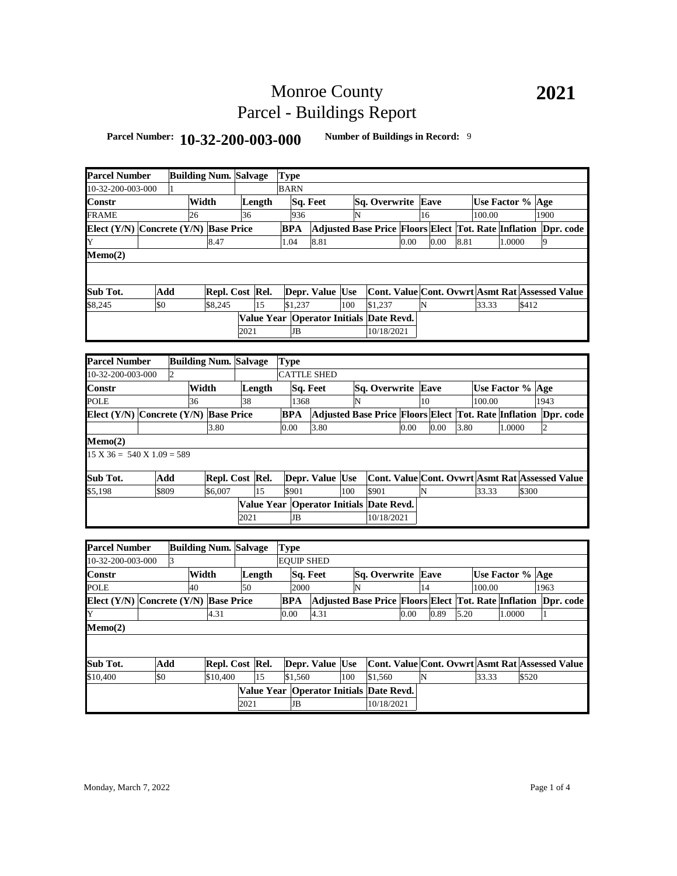# Monroe County Parcel - Buildings Report

## **Parcel Number: 10-32-200-003-000 Number of Buildings in Record:** <sup>9</sup>

| <b>Parcel Number</b>                      |       |                | <b>Building Num. Salvage</b> |      |        | Type        |           |                    |     |                                         |      |    |      |      |                  |        |       |                                                                |
|-------------------------------------------|-------|----------------|------------------------------|------|--------|-------------|-----------|--------------------|-----|-----------------------------------------|------|----|------|------|------------------|--------|-------|----------------------------------------------------------------|
| 10-32-200-003-000                         |       |                |                              |      |        | <b>BARN</b> |           |                    |     |                                         |      |    |      |      |                  |        |       |                                                                |
| Constr                                    |       |                | Width                        |      | Length |             |           | Sq. Feet           |     | Sq. Overwrite Eave                      |      |    |      |      | Use Factor % Age |        |       |                                                                |
| <b>FRAME</b>                              |       | 26             |                              | 36   |        |             | 936       |                    | N   |                                         |      | 16 |      |      | 100.00           |        |       | 1900                                                           |
| Elect (Y/N) Concrete (Y/N) Base Price     |       |                |                              |      |        | BPA         |           |                    |     |                                         |      |    |      |      |                  |        |       | Adjusted Base Price Floors Elect Tot. Rate Inflation Dpr. code |
| Y                                         |       |                | 8.47                         |      |        | 1.04        |           | 8.81               |     |                                         | 0.00 |    | 0.00 | 8.81 |                  | 1.0000 |       | 9                                                              |
| Memo(2)                                   |       |                |                              |      |        |             |           |                    |     |                                         |      |    |      |      |                  |        |       |                                                                |
|                                           |       |                |                              |      |        |             |           |                    |     |                                         |      |    |      |      |                  |        |       |                                                                |
| Sub Tot.                                  | Add   |                | Repl. Cost Rel.              |      |        |             |           | Depr. Value Use    |     |                                         |      |    |      |      |                  |        |       | Cont. Value Cont. Ovwrt Asmt Rat Assessed Value                |
| \$8,245                                   | \$0   |                | \$8,245                      |      | 15     |             | \$1,237   |                    | 100 | \$1,237                                 |      | N  |      |      | 33.33            |        | \$412 |                                                                |
|                                           |       |                |                              |      |        |             |           |                    |     | Value Year Operator Initials Date Revd. |      |    |      |      |                  |        |       |                                                                |
|                                           |       |                |                              | 2021 |        |             | <b>JB</b> |                    |     | 10/18/2021                              |      |    |      |      |                  |        |       |                                                                |
|                                           |       |                |                              |      |        |             |           |                    |     |                                         |      |    |      |      |                  |        |       |                                                                |
| <b>Parcel Number</b>                      |       |                | <b>Building Num. Salvage</b> |      |        | <b>Type</b> |           |                    |     |                                         |      |    |      |      |                  |        |       |                                                                |
| 10-32-200-003-000                         |       | $\overline{2}$ |                              |      |        |             |           | <b>CATTLE SHED</b> |     |                                         |      |    |      |      |                  |        |       |                                                                |
| Constr                                    |       |                | Width                        |      | Length |             |           | Sq. Feet           |     | Sq. Overwrite Eave                      |      |    |      |      | Use Factor % Age |        |       |                                                                |
| POLE                                      |       | 36             |                              | 38   |        |             | 1368      |                    | N   |                                         |      | 10 |      |      | 100.00           |        |       | 1943                                                           |
| Elect (Y/N) Concrete (Y/N) Base Price     |       |                |                              |      |        | BPA         |           |                    |     |                                         |      |    |      |      |                  |        |       | Adjusted Base Price Floors Elect Tot. Rate Inflation Dpr. code |
|                                           |       |                | 3.80                         |      |        | 0.00        |           | 3.80               |     |                                         | 0.00 |    | 0.00 | 3.80 |                  | 1.0000 |       | $\overline{c}$                                                 |
| Memo(2)                                   |       |                |                              |      |        |             |           |                    |     |                                         |      |    |      |      |                  |        |       |                                                                |
| $15 X 36 = 540 X 1.09 = 589$              |       |                |                              |      |        |             |           |                    |     |                                         |      |    |      |      |                  |        |       |                                                                |
| Sub Tot.                                  | Add   |                | Repl. Cost Rel.              |      |        |             |           | Depr. Value Use    |     |                                         |      |    |      |      |                  |        |       | Cont. Value Cont. Ovwrt Asmt Rat Assessed Value                |
| \$5,198                                   | \$809 |                | \$6,007                      |      | 15     | \$901       |           |                    | 100 | \$901                                   |      | N  |      |      | 33.33            |        | \$300 |                                                                |
|                                           |       |                |                              |      |        |             |           |                    |     | Value Year Operator Initials Date Revd. |      |    |      |      |                  |        |       |                                                                |
|                                           |       |                |                              | 2021 |        |             | <b>JB</b> |                    |     | 10/18/2021                              |      |    |      |      |                  |        |       |                                                                |
|                                           |       |                |                              |      |        |             |           |                    |     |                                         |      |    |      |      |                  |        |       |                                                                |
| <b>Parcel Number</b>                      |       |                | <b>Building Num. Salvage</b> |      |        | Type        |           |                    |     |                                         |      |    |      |      |                  |        |       |                                                                |
| 10-32-200-003-000                         |       | 3              |                              |      |        |             |           | <b>EQUIP SHED</b>  |     |                                         |      |    |      |      |                  |        |       |                                                                |
| Constr                                    |       |                | Width                        |      | Length |             |           | Sq. Feet           |     | Sq. Overwrite Eave                      |      |    |      |      | Use Factor % Age |        |       |                                                                |
| <b>POLE</b>                               |       | 40             |                              | 50   |        |             | 2000      |                    | N   |                                         |      | 14 |      |      | 100.00           |        |       | 1963                                                           |
| Elect $(Y/N)$ Concrete $(Y/N)$ Base Price |       |                |                              |      |        | <b>BPA</b>  |           |                    |     |                                         |      |    |      |      |                  |        |       | Adjusted Base Price Floors Elect Tot. Rate Inflation Dpr. code |
| Y                                         |       |                | 4.31                         |      |        | 0.00        |           | 4.31               |     |                                         | 0.00 |    | 0.89 | 5.20 |                  | 1.0000 |       | 1                                                              |
| Memo(2)                                   |       |                |                              |      |        |             |           |                    |     |                                         |      |    |      |      |                  |        |       |                                                                |
|                                           |       |                |                              |      |        |             |           |                    |     |                                         |      |    |      |      |                  |        |       |                                                                |
| Sub Tot.                                  | Add   |                | Repl. Cost Rel.              |      |        |             |           | Depr. Value Use    |     |                                         |      |    |      |      |                  |        |       | Cont. Value Cont. Ovwrt Asmt Rat Assessed Value                |
| \$10,400                                  | \$0   |                | \$10,400                     |      | 15     |             | \$1.560   |                    | 100 | \$1,560                                 |      | N  |      |      | 33.33            |        | \$520 |                                                                |
|                                           |       |                |                              |      |        |             |           |                    |     | Value Year Operator Initials Date Revd. |      |    |      |      |                  |        |       |                                                                |
|                                           |       |                |                              | 2021 |        |             | <b>JB</b> |                    |     | 10/18/2021                              |      |    |      |      |                  |        |       |                                                                |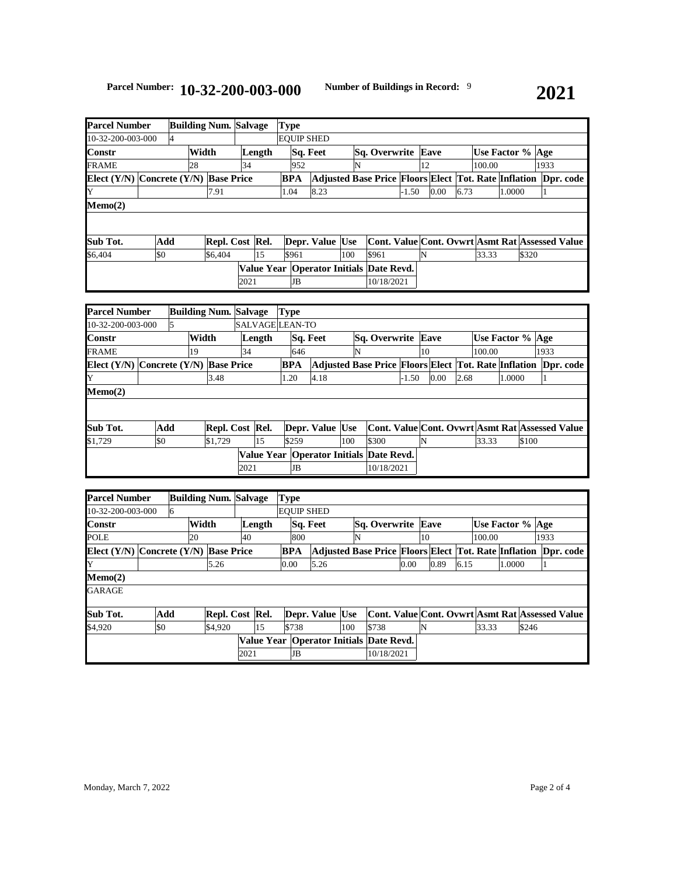| <b>Parcel Number</b>                      |     |       | <b>Building Num. Salvage</b> |      |        | Type              |          |                 |     |                                                                       |         |                                                 |      |                  |        |       |      |  |
|-------------------------------------------|-----|-------|------------------------------|------|--------|-------------------|----------|-----------------|-----|-----------------------------------------------------------------------|---------|-------------------------------------------------|------|------------------|--------|-------|------|--|
| 10-32-200-003-000                         |     |       |                              |      |        | <b>EOUIP SHED</b> |          |                 |     |                                                                       |         |                                                 |      |                  |        |       |      |  |
| Constr                                    |     | Width |                              |      | Length |                   | Sq. Feet |                 |     | Sq. Overwrite Eave                                                    |         |                                                 |      | Use Factor % Age |        |       |      |  |
| <b>FRAME</b>                              |     | 28    |                              | 34   |        | 952               |          |                 |     |                                                                       | 12      |                                                 |      | 100.00           |        |       | 1933 |  |
| Elect $(Y/N)$ Concrete $(Y/N)$ Base Price |     |       |                              |      |        | BPA               |          |                 |     | <b>Adjusted Base Price Floors Elect Tot. Rate Inflation Dpr. code</b> |         |                                                 |      |                  |        |       |      |  |
| Y                                         |     |       | 7.91                         |      |        | 1.04              |          | 8.23            |     |                                                                       | $-1.50$ | 0.00                                            | 6.73 |                  | 1.0000 |       |      |  |
| Memo(2)                                   |     |       |                              |      |        |                   |          |                 |     |                                                                       |         |                                                 |      |                  |        |       |      |  |
|                                           |     |       |                              |      |        |                   |          |                 |     |                                                                       |         |                                                 |      |                  |        |       |      |  |
|                                           |     |       |                              |      |        |                   |          |                 |     |                                                                       |         |                                                 |      |                  |        |       |      |  |
| Sub Tot.                                  | Add |       | Repl. Cost Rel.              |      |        |                   |          | Depr. Value Use |     |                                                                       |         | Cont. Value Cont. Ovwrt Asmt Rat Assessed Value |      |                  |        |       |      |  |
| \$6,404                                   | \$0 |       | \$6,404                      |      | 15     | \$961             |          |                 | 100 | \$961                                                                 | N       |                                                 |      | 33.33            |        | \$320 |      |  |
|                                           |     |       |                              |      |        |                   |          |                 |     | Value Year   Operator Initials   Date Revd.                           |         |                                                 |      |                  |        |       |      |  |
|                                           |     |       |                              | 2021 |        | JB                |          |                 |     | 10/18/2021                                                            |         |                                                 |      |                  |        |       |      |  |

|                                | <b>Parcel Number</b><br><b>Building Num. Salvage</b> |  |    |                   |      |                 | Type       |                 |     |                                                                |         |                                                 |      |        |                  |      |  |
|--------------------------------|------------------------------------------------------|--|----|-------------------|------|-----------------|------------|-----------------|-----|----------------------------------------------------------------|---------|-------------------------------------------------|------|--------|------------------|------|--|
| 10-32-200-003-000              |                                                      |  |    |                   |      | SALVAGE LEAN-TO |            |                 |     |                                                                |         |                                                 |      |        |                  |      |  |
| <b>Constr</b>                  | Width                                                |  |    |                   |      | Length          |            | Sq. Feet        |     | <b>Sq. Overwrite Eave</b>                                      |         |                                                 |      |        | Use Factor % Age |      |  |
| FRAME                          |                                                      |  | 19 |                   | 34   |                 | 646        |                 | N   |                                                                |         | 10                                              |      | 100.00 |                  | 1933 |  |
| Elect $(Y/N)$ Concrete $(Y/N)$ |                                                      |  |    | <b>Base Price</b> |      |                 | <b>BPA</b> |                 |     | Adjusted Base Price Floors Elect Tot. Rate Inflation Dpr. code |         |                                                 |      |        |                  |      |  |
| Y                              |                                                      |  |    | 3.48              |      |                 | 1.20       | 4.18            |     |                                                                | $-1.50$ | 0.00                                            | 2.68 |        | 1.0000           |      |  |
| Memo(2)                        |                                                      |  |    |                   |      |                 |            |                 |     |                                                                |         |                                                 |      |        |                  |      |  |
|                                |                                                      |  |    |                   |      |                 |            |                 |     |                                                                |         |                                                 |      |        |                  |      |  |
|                                |                                                      |  |    |                   |      |                 |            |                 |     |                                                                |         |                                                 |      |        |                  |      |  |
| Sub Tot.                       | Add                                                  |  |    | Repl. Cost Rel.   |      |                 |            | Depr. Value Use |     |                                                                |         | Cont. Value Cont. Ovwrt Asmt Rat Assessed Value |      |        |                  |      |  |
| \$1.729                        | \$0                                                  |  |    | \$1,729           |      | 15              | \$259      |                 | 100 | \$300                                                          |         | N                                               |      | 33.33  | \$100            |      |  |
|                                |                                                      |  |    |                   |      |                 |            |                 |     | Value Year   Operator Initials   Date Revd.                    |         |                                                 |      |        |                  |      |  |
|                                |                                                      |  |    |                   | 2021 |                 | JB         |                 |     | 10/18/2021                                                     |         |                                                 |      |        |                  |      |  |

| <b>Parcel Number</b>                      |     |   | <b>Building Num. Salvage</b> |                 |      | <b>Type</b> |            |     |                                                      |     |       |                           |      |    |      |      |                  |        |       |      |                                                 |
|-------------------------------------------|-----|---|------------------------------|-----------------|------|-------------|------------|-----|------------------------------------------------------|-----|-------|---------------------------|------|----|------|------|------------------|--------|-------|------|-------------------------------------------------|
| 10-32-200-003-000                         |     | 6 |                              |                 |      |             |            |     | <b>EOUIP SHED</b>                                    |     |       |                           |      |    |      |      |                  |        |       |      |                                                 |
| <b>Constr</b>                             |     |   | Width                        |                 |      | Length      |            |     | Sq. Feet                                             |     |       | <b>Sq. Overwrite Eave</b> |      |    |      |      | Use Factor % Age |        |       |      |                                                 |
| <b>POLE</b>                               |     |   | 20                           |                 | 40   |             |            | 800 |                                                      | N   |       |                           |      | 10 |      |      | 100.00           |        |       | 1933 |                                                 |
| Elect $(Y/N)$ Concrete $(Y/N)$ Base Price |     |   |                              |                 |      |             | <b>BPA</b> |     | Adjusted Base Price Floors Elect Tot. Rate Inflation |     |       |                           |      |    |      |      |                  |        |       |      | Dpr. code                                       |
| Y                                         |     |   |                              | 5.26            |      |             | 0.00       |     | 5.26                                                 |     |       |                           | 0.00 |    | 0.89 | 6.15 |                  | 1.0000 |       |      |                                                 |
| Memo(2)                                   |     |   |                              |                 |      |             |            |     |                                                      |     |       |                           |      |    |      |      |                  |        |       |      |                                                 |
| GARAGE                                    |     |   |                              |                 |      |             |            |     |                                                      |     |       |                           |      |    |      |      |                  |        |       |      |                                                 |
| Sub Tot.                                  | Add |   |                              | Repl. Cost Rel. |      |             |            |     | Depr. Value Use                                      |     |       |                           |      |    |      |      |                  |        |       |      | Cont. Value Cont. Ovwrt Asmt Rat Assessed Value |
| \$4,920                                   | \$0 |   |                              | \$4,920         |      | 15          | \$738      |     |                                                      | 100 | \$738 |                           |      | N  |      |      | 33.33            |        | \$246 |      |                                                 |
|                                           |     |   |                              |                 |      |             |            |     | Value Year   Operator Initials Date Revd.            |     |       |                           |      |    |      |      |                  |        |       |      |                                                 |
|                                           |     |   |                              |                 | 2021 |             |            | JB  |                                                      |     |       | 10/18/2021                |      |    |      |      |                  |        |       |      |                                                 |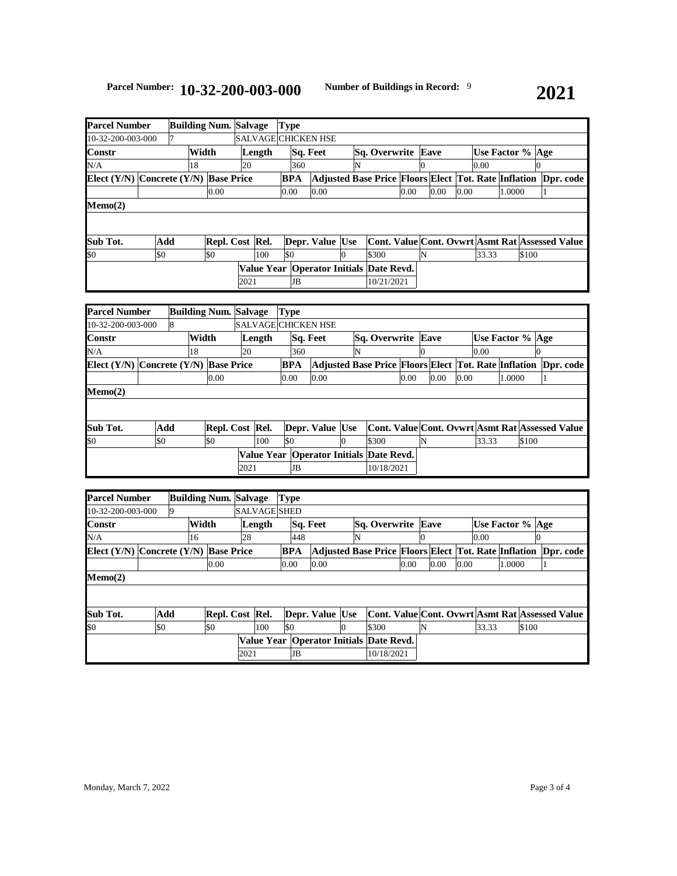## **Parcel Number: 10-32-200-003-000 Number of Buildings in Record:** <sup>9</sup>

| <b>Parcel Number</b>                      |     |       | <b>Building Num. Salvage</b> |      |                     | <b>Type</b> |     |                                             |   |                                                                |      |   |      |      |                  |        |       |  |
|-------------------------------------------|-----|-------|------------------------------|------|---------------------|-------------|-----|---------------------------------------------|---|----------------------------------------------------------------|------|---|------|------|------------------|--------|-------|--|
| 10-32-200-003-000                         |     |       |                              |      | SALVAGE CHICKEN HSE |             |     |                                             |   |                                                                |      |   |      |      |                  |        |       |  |
| Constr                                    |     | Width |                              |      | Length              |             |     | Sq. Feet                                    |   | <b>Sq. Overwrite Eave</b>                                      |      |   |      |      | Use Factor % Age |        |       |  |
| N/A                                       |     | 18    |                              | 20   |                     |             | 360 |                                             | N |                                                                |      |   |      |      | 0.00             |        |       |  |
| Elect $(Y/N)$ Concrete $(Y/N)$ Base Price |     |       |                              |      |                     | BPA         |     |                                             |   | Adjusted Base Price Floors Elect Tot. Rate Inflation Dpr. code |      |   |      |      |                  |        |       |  |
|                                           |     |       | 0.00                         |      |                     | 0.00        |     | 0.00                                        |   |                                                                | 0.00 |   | 0.00 | 0.00 |                  | 1.0000 |       |  |
| Memo(2)                                   |     |       |                              |      |                     |             |     |                                             |   |                                                                |      |   |      |      |                  |        |       |  |
|                                           |     |       |                              |      |                     |             |     |                                             |   |                                                                |      |   |      |      |                  |        |       |  |
|                                           |     |       |                              |      |                     |             |     |                                             |   |                                                                |      |   |      |      |                  |        |       |  |
| Sub Tot.                                  | Add |       | Repl. Cost Rel.              |      |                     |             |     | Depr. Value Use                             |   | Cont. Value Cont. Ovwrt Asmt Rat Assessed Value                |      |   |      |      |                  |        |       |  |
| \$0                                       | \$0 |       | \$0                          |      | 100                 | \$0         |     |                                             | Ю | \$300                                                          |      | N |      |      | 33.33            |        | \$100 |  |
|                                           |     |       |                              |      |                     |             |     | Value Year   Operator Initials   Date Revd. |   |                                                                |      |   |      |      |                  |        |       |  |
|                                           |     |       |                              | 2021 |                     |             | JB  |                                             |   | 10/21/2021                                                     |      |   |      |      |                  |        |       |  |

| <b>Parcel Number</b>                      | <b>Building Num. Salvage</b> |   |  | <b>Type</b>     |        |                            |            |          |                 |   |                                                                |      |                                                 |      |                    |        |       |  |
|-------------------------------------------|------------------------------|---|--|-----------------|--------|----------------------------|------------|----------|-----------------|---|----------------------------------------------------------------|------|-------------------------------------------------|------|--------------------|--------|-------|--|
| 10-32-200-003-000                         |                              | 8 |  |                 |        | <b>SALVAGE CHICKEN HSE</b> |            |          |                 |   |                                                                |      |                                                 |      |                    |        |       |  |
| <b>Constr</b>                             | Width                        |   |  |                 | Length |                            |            | Sq. Feet |                 |   | <b>Sq. Overwrite Eave</b>                                      |      |                                                 |      | Use Factor %   Age |        |       |  |
| N/A                                       | 18                           |   |  |                 | 20     |                            | 360        |          |                 | N |                                                                |      |                                                 |      | 0.00               |        |       |  |
| Elect $(Y/N)$ Concrete $(Y/N)$ Base Price |                              |   |  |                 |        |                            | <b>BPA</b> |          |                 |   | Adjusted Base Price Floors Elect Tot. Rate Inflation Dpr. code |      |                                                 |      |                    |        |       |  |
|                                           |                              |   |  | 0.00            |        |                            | 0.00       |          | 0.00            |   |                                                                | 0.00 | 0.00                                            | 0.00 |                    | 1.0000 |       |  |
| Memo(2)                                   |                              |   |  |                 |        |                            |            |          |                 |   |                                                                |      |                                                 |      |                    |        |       |  |
|                                           |                              |   |  |                 |        |                            |            |          |                 |   |                                                                |      |                                                 |      |                    |        |       |  |
|                                           |                              |   |  |                 |        |                            |            |          |                 |   |                                                                |      |                                                 |      |                    |        |       |  |
| Sub Tot.                                  | Add                          |   |  | Repl. Cost Rel. |        |                            |            |          | Depr. Value Use |   |                                                                |      | Cont. Value Cont. Ovwrt Asmt Rat Assessed Value |      |                    |        |       |  |
| \$0                                       | \$0                          |   |  | \$0             |        | 100                        | \$0        |          |                 | Ю | \$300                                                          |      | N                                               |      | 33.33              |        | \$100 |  |
|                                           |                              |   |  |                 |        |                            |            |          |                 |   | Value Year   Operator Initials   Date Revd.                    |      |                                                 |      |                    |        |       |  |
|                                           |                              |   |  |                 | 2021   |                            |            | JB       |                 |   | 10/18/2021                                                     |      |                                                 |      |                    |        |       |  |

|     |                                           |           | Length |     |                                                                                                      |                                                |          |                 |                                                                                    |                |       |              |                                                                                                                                      |
|-----|-------------------------------------------|-----------|--------|-----|------------------------------------------------------------------------------------------------------|------------------------------------------------|----------|-----------------|------------------------------------------------------------------------------------|----------------|-------|--------------|--------------------------------------------------------------------------------------------------------------------------------------|
|     | 16                                        |           | 28     |     | 448                                                                                                  |                                                | N        |                 |                                                                                    |                |       |              |                                                                                                                                      |
|     |                                           |           |        |     | <b>BPA</b>                                                                                           |                                                |          |                 |                                                                                    |                |       |              | Dpr. code                                                                                                                            |
|     |                                           | 0.00      |        |     |                                                                                                      | 0.00                                           |          |                 | 0.00                                                                               |                |       | 1.0000       |                                                                                                                                      |
|     |                                           |           |        |     |                                                                                                      |                                                |          |                 |                                                                                    |                |       |              |                                                                                                                                      |
|     |                                           |           |        |     |                                                                                                      |                                                |          |                 |                                                                                    |                |       |              |                                                                                                                                      |
|     |                                           |           |        |     |                                                                                                      |                                                |          |                 |                                                                                    |                |       |              |                                                                                                                                      |
| \$0 |                                           | <b>SO</b> |        | 100 | \$0                                                                                                  |                                                |          | \$300           |                                                                                    |                | 33.33 |              |                                                                                                                                      |
|     |                                           |           |        |     |                                                                                                      |                                                |          |                 |                                                                                    |                |       |              |                                                                                                                                      |
|     |                                           |           |        |     | JB                                                                                                   |                                                |          |                 |                                                                                    |                |       |              |                                                                                                                                      |
|     | <b>Parcel Number</b><br>10-32-200-003-000 | Add       | Width  |     | <b>Building Num. Salvage</b><br>Elect $(Y/N)$ Concrete $(Y/N)$ Base Price<br>Repl. Cost Rel.<br>2021 | <b>Type</b><br><b>SALVAGE SHED</b><br>$0.00\,$ | Sq. Feet | Depr. Value Use | Sq. Overwrite<br>0.00<br>Value Year   Operator Initials   Date Revd.<br>10/18/2021 | Eave<br>O<br>N |       | 0.00<br>0.00 | Use Factor % Age<br>Adjusted Base Price Floors Elect Tot. Rate Inflation<br>Cont. Value Cont. Ovwrt Asmt Rat Assessed Value<br>\$100 |